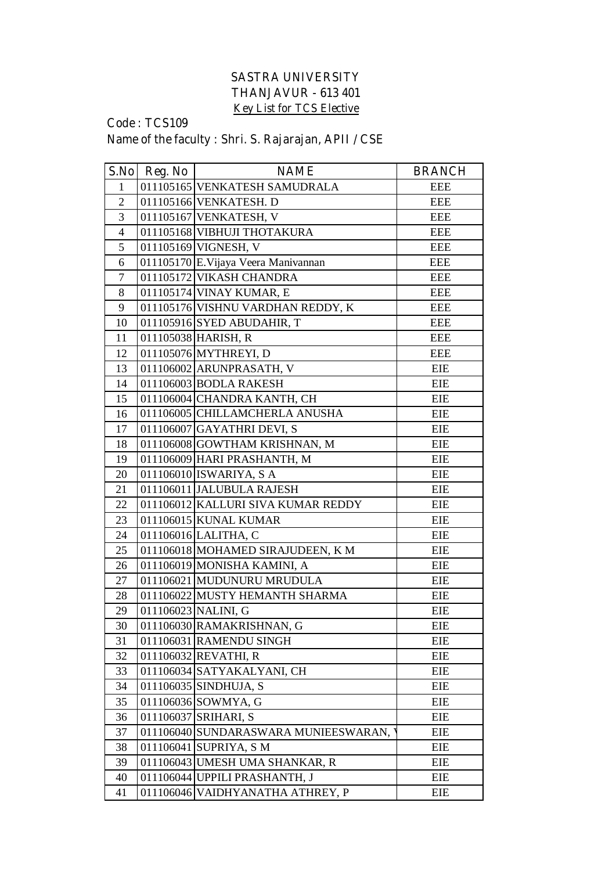## **SASTRA UNIVERSITY THANJAVUR - 613 401 Key List for TCS Elective**

## **Code : TCS109**

## **Name of the faculty : Shri. S. Rajarajan, APII / CSE**

| S.No           | Reg. No   | <b>NAME</b>                          | <b>BRANCH</b> |
|----------------|-----------|--------------------------------------|---------------|
| $\mathbf{1}$   |           | 011105165 VENKATESH SAMUDRALA        | <b>EEE</b>    |
| $\overline{2}$ |           | 011105166 VENKATESH. D               | <b>EEE</b>    |
| 3              |           | 011105167 VENKATESH, V               | <b>EEE</b>    |
| $\overline{4}$ |           | 011105168 VIBHUJI THOTAKURA          | <b>EEE</b>    |
| 5              |           | 011105169 VIGNESH, V                 | <b>EEE</b>    |
| 6              |           | 011105170 E. Vijaya Veera Manivannan | <b>EEE</b>    |
| $\overline{7}$ |           | 011105172 VIKASH CHANDRA             | <b>EEE</b>    |
| 8              |           | 011105174 VINAY KUMAR, E             | <b>EEE</b>    |
| 9              |           | 011105176 VISHNU VARDHAN REDDY, K    | <b>EEE</b>    |
| 10             |           | 011105916 SYED ABUDAHIR, T           | <b>EEE</b>    |
| 11             |           | 011105038 HARISH, R                  | <b>EEE</b>    |
| 12             |           | 011105076 MYTHREYI, D                | <b>EEE</b>    |
| 13             |           | 011106002 ARUNPRASATH, V             | <b>EIE</b>    |
| 14             |           | 011106003 BODLA RAKESH               | <b>EIE</b>    |
| 15             |           | 011106004 CHANDRA KANTH, CH          | <b>EIE</b>    |
| 16             |           | 011106005 CHILLAMCHERLA ANUSHA       | <b>EIE</b>    |
| 17             |           | 011106007 GAYATHRI DEVI, S           | <b>EIE</b>    |
| 18             |           | 011106008 GOWTHAM KRISHNAN, M        | <b>EIE</b>    |
| 19             |           | 011106009 HARI PRASHANTH, M          | EIE           |
| 20             |           | 011106010 ISWARIYA, SA               | <b>EIE</b>    |
| 21             |           | 011106011 JALUBULA RAJESH            | EIE           |
| 22             |           | 011106012 KALLURI SIVA KUMAR REDDY   | EIE           |
| 23             |           | 011106015 KUNAL KUMAR                | <b>EIE</b>    |
| 24             |           | 011106016 LALITHA, C                 | <b>EIE</b>    |
| 25             |           | 011106018 MOHAMED SIRAJUDEEN, K M    | <b>EIE</b>    |
| 26             |           | 011106019 MONISHA KAMINI, A          | <b>EIE</b>    |
| 27             |           | 011106021 MUDUNURU MRUDULA           | EIE           |
| 28             |           | 011106022 MUSTY HEMANTH SHARMA       | <b>EIE</b>    |
| 29             |           | 011106023 NALINI, G                  | <b>EIE</b>    |
| 30             |           | 011106030 RAMAKRISHNAN, G            | <b>EIE</b>    |
| 31             |           | 011106031 RAMENDU SINGH              | EIE           |
| 32             |           | 011106032 REVATHI, R                 | <b>EIE</b>    |
| 33             |           | 011106034 SATYAKALYANI, CH           | <b>EIE</b>    |
| 34             |           | 011106035 SINDHUJA, S                | EIE           |
| 35             |           | 011106036 SOWMYA, G                  | <b>EIE</b>    |
| 36             |           | 011106037 SRIHARI, S                 | EIE           |
| 37             |           | 011106040 SUNDARASWARA MUNIEESWARAN, | EIE           |
| 38             |           | 011106041 SUPRIYA, S M               | EIE           |
| 39             |           | 011106043 UMESH UMA SHANKAR, R       | EIE           |
| 40             |           | 011106044 UPPILI PRASHANTH, J        | EIE           |
| 41             | 011106046 | VAIDHYANATHA ATHREY, P               | <b>EIE</b>    |